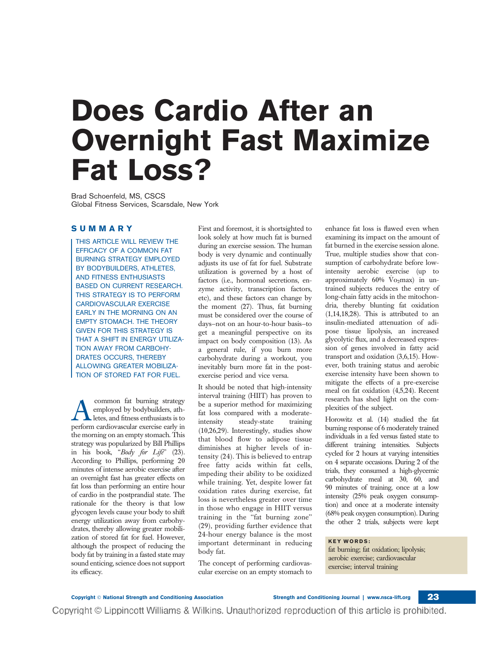## Does Cardio After an Overnight Fast Maximize Fat Loss?

Brad Schoenfeld, MS, CSCS Global Fitness Services, Scarsdale, New York

## SUMMARY

THIS ARTICLE WILL REVIEW THE EFFICACY OF A COMMON FAT BURNING STRATEGY EMPLOYED BY BODYBUILDERS, ATHLETES, AND FITNESS ENTHUSIASTS BASED ON CURRENT RESEARCH. THIS STRATEGY IS TO PERFORM CARDIOVASCULAR EXERCISE EARLY IN THE MORNING ON AN EMPTY STOMACH. THE THEORY GIVEN FOR THIS STRATEGY IS THAT A SHIFT IN ENERGY UTILIZA-TION AWAY FROM CARBOHY-DRATES OCCURS, THEREBY ALLOWING GREATER MOBILIZA-TION OF STORED FAT FOR FUEL.

common fat burning strategy<br>employed by bodybuilders, ath-<br>letes, and fitness enthusiasts is to employed by bodybuilders, athletes, and fitness enthusiasts is to perform cardiovascular exercise early in the morning on an empty stomach. This strategy was popularized by Bill Phillips in his book, "Body for Life" (23). According to Phillips, performing 20 minutes of intense aerobic exercise after an overnight fast has greater effects on fat loss than performing an entire hour of cardio in the postprandial state. The rationale for the theory is that low glycogen levels cause your body to shift energy utilization away from carbohydrates, thereby allowing greater mobilization of stored fat for fuel. However, although the prospect of reducing the body fat by training in a fasted state may sound enticing, science does not support its efficacy.

First and foremost, it is shortsighted to look solely at how much fat is burned during an exercise session. The human body is very dynamic and continually adjusts its use of fat for fuel. Substrate utilization is governed by a host of factors (i.e., hormonal secretions, enzyme activity, transcription factors, etc), and these factors can change by the moment (27). Thus, fat burning must be considered over the course of days—not on an hour-to-hour basis—to get a meaningful perspective on its impact on body composition (13). As a general rule, if you burn more carbohydrate during a workout, you inevitably burn more fat in the postexercise period and vice versa.

It should be noted that high-intensity interval training (HIIT) has proven to be a superior method for maximizing fat loss compared with a moderateintensity steady-state training (10,26,29). Interestingly, studies show that blood flow to adipose tissue diminishes at higher levels of intensity (24). This is believed to entrap free fatty acids within fat cells, impeding their ability to be oxidized while training. Yet, despite lower fat oxidation rates during exercise, fat loss is nevertheless greater over time in those who engage in HIIT versus training in the ''fat burning zone'' (29), providing further evidence that 24-hour energy balance is the most important determinant in reducing body fat.

The concept of performing cardiovascular exercise on an empty stomach to

Copyright © Lippincott Williams & Wilkins. Unauthorized reproduction of this article is prohibited.

enhance fat loss is flawed even when examining its impact on the amount of fat burned in the exercise session alone. True, multiple studies show that consumption of carbohydrate before lowintensity aerobic exercise (up to approximately  $60\%$  Vo<sub>2</sub>max) in untrained subjects reduces the entry of long-chain fatty acids in the mitochondria, thereby blunting fat oxidation (1,14,18,28). This is attributed to an insulin-mediated attenuation of adipose tissue lipolysis, an increased glycolytic flux, and a decreased expression of genes involved in fatty acid transport and oxidation (3,6,15). However, both training status and aerobic exercise intensity have been shown to mitigate the effects of a pre-exercise meal on fat oxidation (4,5,24). Recent research has shed light on the complexities of the subject.

Horowitz et al. (14) studied the fat burning response of 6 moderately trained individuals in a fed versus fasted state to different training intensities. Subjects cycled for 2 hours at varying intensities on 4 separate occasions. During 2 of the trials, they consumed a high-glycemic carbohydrate meal at 30, 60, and 90 minutes of training, once at a low intensity (25% peak oxygen consumption) and once at a moderate intensity (68% peak oxygen consumption). During the other 2 trials, subjects were kept

## KEY WORDS:

fat burning; fat oxidation; lipolysis; aerobic exercise; cardiovascular exercise; interval training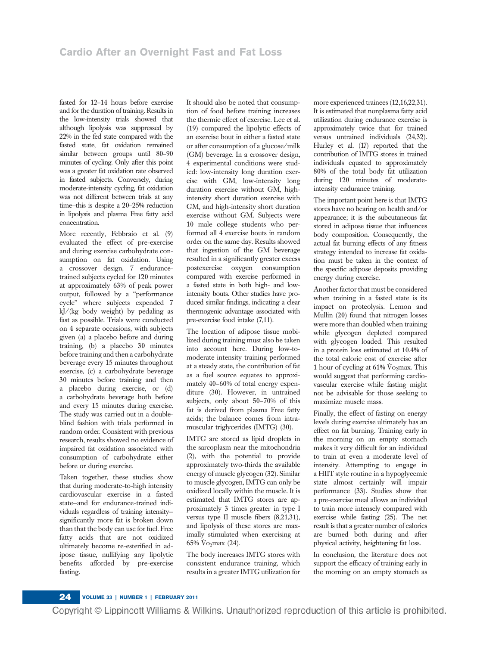fasted for 12–14 hours before exercise and for the duration of training. Results in the low-intensity trials showed that although lipolysis was suppressed by 22% in the fed state compared with the fasted state, fat oxidation remained similar between groups until 80–90 minutes of cycling. Only after this point was a greater fat oxidation rate observed in fasted subjects. Conversely, during moderate-intensity cycling, fat oxidation was not different between trials at any time—this is despite a 20–25% reduction in lipolysis and plasma Free fatty acid concentration.

More recently, Febbraio et al. (9) evaluated the effect of pre-exercise and during exercise carbohydrate consumption on fat oxidation. Using a crossover design, 7 endurancetrained subjects cycled for 120 minutes at approximately 63% of peak power output, followed by a ''performance cycle'' where subjects expended 7 kJ/(kg body weight) by pedaling as fast as possible. Trials were conducted on 4 separate occasions, with subjects given (a) a placebo before and during training, (b) a placebo 30 minutes before training and then a carbohydrate beverage every 15 minutes throughout exercise, (c) a carbohydrate beverage 30 minutes before training and then a placebo during exercise, or (d) a carbohydrate beverage both before and every 15 minutes during exercise. The study was carried out in a doubleblind fashion with trials performed in random order. Consistent with previous research, results showed no evidence of impaired fat oxidation associated with consumption of carbohydrate either before or during exercise.

Taken together, these studies show that during moderate-to-high intensity cardiovascular exercise in a fasted state—and for endurance-trained individuals regardless of training intensity significantly more fat is broken down than that the body can use for fuel. Free fatty acids that are not oxidized ultimately become re-esterified in adipose tissue, nullifying any lipolytic benefits afforded by pre-exercise fasting.

It should also be noted that consumption of food before training increases the thermic effect of exercise. Lee et al. (19) compared the lipolytic effects of an exercise bout in either a fasted state or after consumption of a glucose/milk (GM) beverage. In a crossover design, 4 experimental conditions were studied: low-intensity long duration exercise with GM, low-intensity long duration exercise without GM, highintensity short duration exercise with GM, and high-intensity short duration exercise without GM. Subjects were 10 male college students who performed all 4 exercise bouts in random order on the same day. Results showed that ingestion of the GM beverage resulted in a significantly greater excess postexercise oxygen consumption compared with exercise performed in a fasted state in both high- and lowintensity bouts. Other studies have produced similar findings, indicating a clear thermogenic advantage associated with pre-exercise food intake (7,11).

The location of adipose tissue mobilized during training must also be taken into account here. During low-tomoderate intensity training performed at a steady state, the contribution of fat as a fuel source equates to approximately 40–60% of total energy expenditure (30). However, in untrained subjects, only about 50–70% of this fat is derived from plasma Free fatty acids; the balance comes from intramuscular triglycerides (IMTG) (30).

IMTG are stored as lipid droplets in the sarcoplasm near the mitochondria (2), with the potential to provide approximately two-thirds the available energy of muscle glycogen (32). Similar to muscle glycogen, IMTG can only be oxidized locally within the muscle. It is estimated that IMTG stores are approximately 3 times greater in type I versus type II muscle fibers (8,21,31), and lipolysis of these stores are maximally stimulated when exercising at 65%  $\rm V_{O_2}$ max (24).

The body increases IMTG stores with consistent endurance training, which results in a greater IMTG utilization for more experienced trainees (12,16,22,31). It is estimated that nonplasma fatty acid utilization during endurance exercise is approximately twice that for trained versus untrained individuals (24,32). Hurley et al. (17) reported that the contribution of IMTG stores in trained individuals equated to approximately 80% of the total body fat utilization during 120 minutes of moderateintensity endurance training.

The important point here is that IMTG stores have no bearing on health and/or appearance; it is the subcutaneous fat stored in adipose tissue that influences body composition. Consequently, the actual fat burning effects of any fitness strategy intended to increase fat oxidation must be taken in the context of the specific adipose deposits providing energy during exercise.

Another factor that must be considered when training in a fasted state is its impact on proteolysis. Lemon and Mullin (20) found that nitrogen losses were more than doubled when training while glycogen depleted compared with glycogen loaded. This resulted in a protein loss estimated at 10.4% of the total caloric cost of exercise after 1 hour of cycling at  $61\%$  Vo<sub>2</sub>max. This would suggest that performing cardiovascular exercise while fasting might not be advisable for those seeking to maximize muscle mass.

Finally, the effect of fasting on energy levels during exercise ultimately has an effect on fat burning. Training early in the morning on an empty stomach makes it very difficult for an individual to train at even a moderate level of intensity. Attempting to engage in a HIIT style routine in a hypoglycemic state almost certainly will impair performance (33). Studies show that a pre-exercise meal allows an individual to train more intensely compared with exercise while fasting (25). The net result is that a greater number of calories are burned both during and after physical activity, heightening fat loss.

In conclusion, the literature does not support the efficacy of training early in the morning on an empty stomach as

Copyright © Lippincott Williams & Wilkins. Unauthorized reproduction of this article is prohibited.